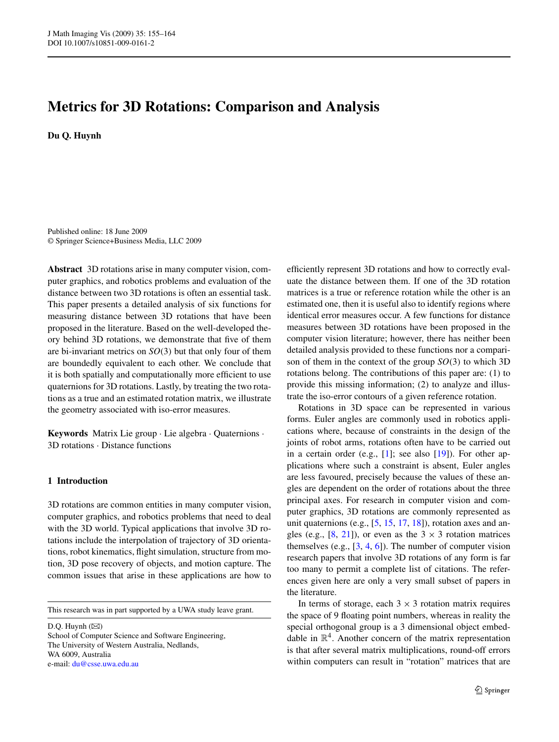# **Metrics for 3D Rotations: Comparison and Analysis**

**Du Q. Huynh**

Published online: 18 June 2009 © Springer Science+Business Media, LLC 2009

**Abstract** 3D rotations arise in many computer vision, computer graphics, and robotics problems and evaluation of the distance between two 3D rotations is often an essential task. This paper presents a detailed analysis of six functions for measuring distance between 3D rotations that have been proposed in the literature. Based on the well-developed theory behind 3D rotations, we demonstrate that five of them are bi-invariant metrics on *SO(*3*)* but that only four of them are boundedly equivalent to each other. We conclude that it is both spatially and computationally more efficient to use quaternions for 3D rotations. Lastly, by treating the two rotations as a true and an estimated rotation matrix, we illustrate the geometry associated with iso-error measures.

**Keywords** Matrix Lie group · Lie algebra · Quaternions · 3D rotations · Distance functions

# **1 Introduction**

3D rotations are common entities in many computer vision, computer graphics, and robotics problems that need to deal with the 3D world. Typical applications that involve 3D rotations include the interpolation of trajectory of 3D orientations, robot kinematics, flight simulation, structure from motion, 3D pose recovery of objects, and motion capture. The common issues that arise in these applications are how to

This research was in part supported by a UWA study leave grant.

 $D.Q.$  Huynh  $(\boxtimes)$ School of Computer Science and Software Engineering, The University of Western Australia, Nedlands, WA 6009, Australia e-mail: [du@csse.uwa.edu.au](mailto:du@csse.uwa.edu.au)

efficiently represent 3D rotations and how to correctly evaluate the distance between them. If one of the 3D rotation matrices is a true or reference rotation while the other is an estimated one, then it is useful also to identify regions where identical error measures occur. A few functions for distance measures between 3D rotations have been proposed in the computer vision literature; however, there has neither been detailed analysis provided to these functions nor a comparison of them in the context of the group *SO(*3*)* to which 3D rotations belong. The contributions of this paper are: (1) to provide this missing information; (2) to analyze and illustrate the iso-error contours of a given reference rotation.

Rotations in 3D space can be represented in various forms. Euler angles are commonly used in robotics applications where, because of constraints in the design of the joints of robot arms, rotations often have to be carried out in a certain order (e.g., [\[1](#page-9-0)]; see also [[19\]](#page-9-0)). For other applications where such a constraint is absent, Euler angles are less favoured, precisely because the values of these angles are dependent on the order of rotations about the three principal axes. For research in computer vision and computer graphics, 3D rotations are commonly represented as unit quaternions (e.g., [\[5,](#page-9-0) [15,](#page-9-0) [17,](#page-9-0) [18](#page-9-0)]), rotation axes and angles (e.g.,  $[8, 21]$  $[8, 21]$  $[8, 21]$  $[8, 21]$ ), or even as the 3  $\times$  3 rotation matrices themselves  $(e.g., [3, 4, 6])$  $(e.g., [3, 4, 6])$  $(e.g., [3, 4, 6])$  $(e.g., [3, 4, 6])$  $(e.g., [3, 4, 6])$  $(e.g., [3, 4, 6])$  $(e.g., [3, 4, 6])$ . The number of computer vision research papers that involve 3D rotations of any form is far too many to permit a complete list of citations. The references given here are only a very small subset of papers in the literature.

In terms of storage, each  $3 \times 3$  rotation matrix requires the space of 9 floating point numbers, whereas in reality the special orthogonal group is a 3 dimensional object embeddable in  $\mathbb{R}^4$ . Another concern of the matrix representation is that after several matrix multiplications, round-off errors within computers can result in "rotation" matrices that are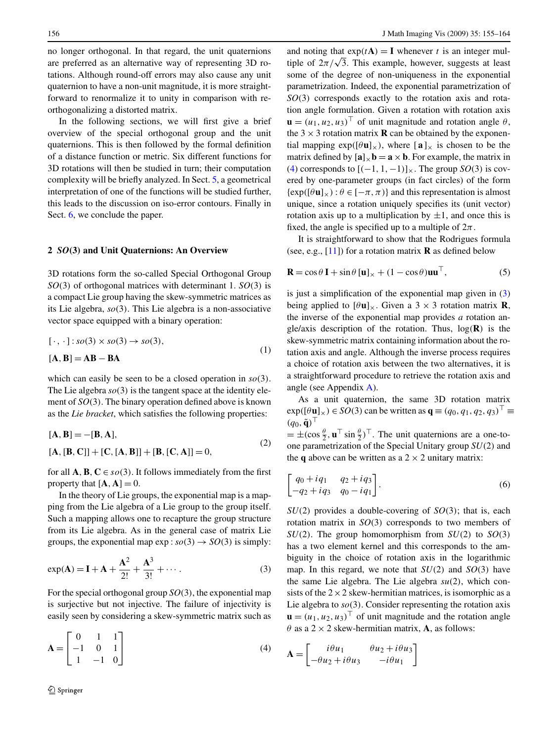no longer orthogonal. In that regard, the unit quaternions are preferred as an alternative way of representing 3D rotations. Although round-off errors may also cause any unit quaternion to have a non-unit magnitude, it is more straightforward to renormalize it to unity in comparison with reorthogonalizing a distorted matrix.

In the following sections, we will first give a brief overview of the special orthogonal group and the unit quaternions. This is then followed by the formal definition of a distance function or metric. Six different functions for 3D rotations will then be studied in turn; their computation complexity will be briefly analyzed. In Sect. [5](#page-6-0), a geometrical interpretation of one of the functions will be studied further, this leads to the discussion on iso-error contours. Finally in Sect. [6,](#page-8-0) we conclude the paper.

# **2** *SO(***3***)* **and Unit Quaternions: An Overview**

3D rotations form the so-called Special Orthogonal Group *SO(*3*)* of orthogonal matrices with determinant 1. *SO(*3*)* is a compact Lie group having the skew-symmetric matrices as its Lie algebra, *so(*3*)*. This Lie algebra is a non-associative vector space equipped with a binary operation:

$$
[\cdot, \cdot]: so(3) \times so(3) \to so(3),
$$
  
[**A**, **B**] = **AB** – **BA** (1)

which can easily be seen to be a closed operation in *so(*3*)*. The Lie algebra  $\mathfrak{so}(3)$  is the tangent space at the identity element of *SO(*3*)*. The binary operation defined above is known as the *Lie bracket*, which satisfies the following properties:

$$
[A, B] = -[B, A],
$$
  
\n
$$
[A, [B, C]] + [C, [A, B]] + [B, [C, A]] = 0,
$$
\n(2)

for all **A**, **B**,  $C \in so(3)$ . It follows immediately from the first property that  $[A, A] = 0$ .

In the theory of Lie groups, the exponential map is a mapping from the Lie algebra of a Lie group to the group itself. Such a mapping allows one to recapture the group structure from its Lie algebra. As in the general case of matrix Lie groups, the exponential map  $exp: so(3) \rightarrow SO(3)$  is simply:

$$
\exp(A) = I + A + \frac{A^2}{2!} + \frac{A^3}{3!} + \cdots
$$
 (3)

For the special orthogonal group *SO(*3*)*, the exponential map is surjective but not injective. The failure of injectivity is easily seen by considering a skew-symmetric matrix such as

$$
\mathbf{A} = \begin{bmatrix} 0 & 1 & 1 \\ -1 & 0 & 1 \\ 1 & -1 & 0 \end{bmatrix} \tag{4}
$$

and noting that  $exp(tA) = I$  whenever *t* is an integer multiple of  $2\pi/\sqrt{3}$ . This example, however, suggests at least some of the degree of non-uniqueness in the exponential parametrization. Indeed, the exponential parametrization of *SO(*3*)* corresponds exactly to the rotation axis and rotation angle formulation. Given a rotation with rotation axis  $\mathbf{u} = (u_1, u_2, u_3)^\top$  of unit magnitude and rotation angle  $\theta$ , the  $3 \times 3$  rotation matrix **R** can be obtained by the exponential mapping  $exp([\theta \mathbf{u}]_x)$ , where  $[\mathbf{a}]_x$  is chosen to be the matrix defined by  $[\mathbf{a}]_{\times} \mathbf{b} = \mathbf{a} \times \mathbf{b}$ . For example, the matrix in (4) corresponds to  $[(-1, 1, -1)]_x$ . The group *SO*(3) is covered by one-parameter groups (in fact circles) of the form  $\{\exp([\theta \mathbf{u}]_{\times}) : \theta \in [-\pi, \pi)\}\$ and this representation is almost unique, since a rotation uniquely specifies its (unit vector) rotation axis up to a multiplication by  $\pm 1$ , and once this is fixed, the angle is specified up to a multiple of  $2\pi$ .

It is straightforward to show that the Rodrigues formula (see, e.g., [[11\]](#page-9-0)) for a rotation matrix **R** as defined below

$$
\mathbf{R} = \cos\theta \, \mathbf{I} + \sin\theta \, [\mathbf{u}]_{\times} + (1 - \cos\theta)\mathbf{u}\mathbf{u}^{\top},\tag{5}
$$

is just a simplification of the exponential map given in (3) being applied to  $[\theta \mathbf{u}]_{\times}$ . Given a 3  $\times$  3 rotation matrix **R**, the inverse of the exponential map provides *a* rotation angle/axis description of the rotation. Thus, log*(***R***)* is the skew-symmetric matrix containing information about the rotation axis and angle. Although the inverse process requires a choice of rotation axis between the two alternatives, it is a straightforward procedure to retrieve the rotation axis and angle (see Appendix [A](#page-8-0)).

As a unit quaternion, the same 3D rotation matrix  $\exp([\theta \mathbf{u}]_{\times}) \in SO(3)$  can be written as  $\mathbf{q} \equiv (q_0, q_1, q_2, q_3)^\top \equiv$  $(q_0, \tilde{\mathbf{q}})^{\top}$ 

 $= \pm(\cos{\frac{\theta}{2}}, \mathbf{u}^{\top}\sin{\frac{\theta}{2}})^{\top}$ . The unit quaternions are a one-toone parametrization of the Special Unitary group *SU(*2*)* and the **q** above can be written as a  $2 \times 2$  unitary matrix:

$$
\begin{bmatrix} q_0 + iq_1 & q_2 + iq_3 \ -q_2 + iq_3 & q_0 - iq_1 \end{bmatrix}.
$$
 (6)

*SU(*2*)* provides a double-covering of *SO(*3*)*; that is, each rotation matrix in *SO(*3*)* corresponds to two members of *SU*(2). The group homomorphism from *SU*(2) to *SO*(3) has a two element kernel and this corresponds to the ambiguity in the choice of rotation axis in the logarithmic map. In this regard, we note that  $SU(2)$  and  $SO(3)$  have the same Lie algebra. The Lie algebra *su(*2*)*, which consists of the  $2 \times 2$  skew-hermitian matrices, is isomorphic as a Lie algebra to  $so(3)$ . Consider representing the rotation axis  $\mathbf{u} = (u_1, u_2, u_3)^\top$  of unit magnitude and the rotation angle  $\theta$  as a 2  $\times$  2 skew-hermitian matrix, **A**, as follows:

$$
\mathbf{A} = \begin{bmatrix} i\theta u_1 & \theta u_2 + i\theta u_3 \\ -\theta u_2 + i\theta u_3 & -i\theta u_1 \end{bmatrix}
$$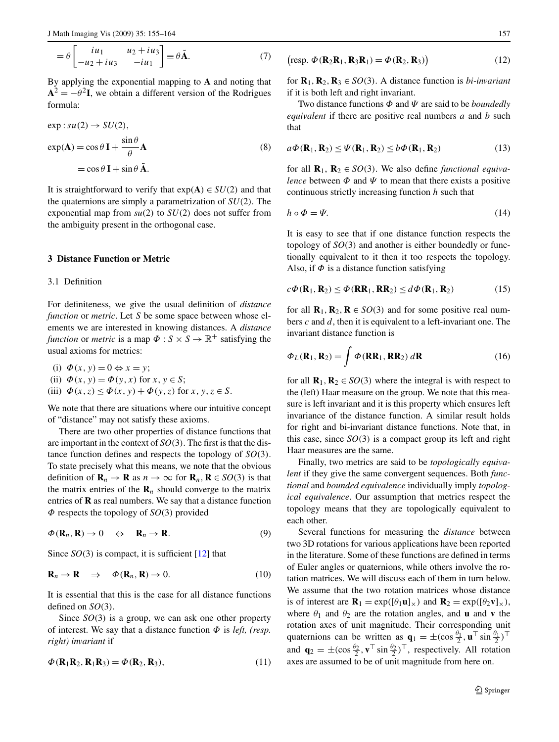<span id="page-2-0"></span>
$$
= \theta \begin{bmatrix} iu_1 & u_2 + iu_3 \\ -u_2 + iu_3 & -iu_1 \end{bmatrix} \equiv \theta \tilde{\mathbf{A}}.
$$
 (7)

By applying the exponential mapping to **A** and noting that  $A^{2} = -\theta^{2}I$ , we obtain a different version of the Rodrigues formula:

$$
\exp : su(2) \to SU(2),
$$
  
\n
$$
\exp(\mathbf{A}) = \cos \theta \mathbf{I} + \frac{\sin \theta}{\theta} \mathbf{A}
$$
  
\n
$$
= \cos \theta \mathbf{I} + \sin \theta \mathbf{A}.
$$
\n(8)

It is straightforward to verify that  $exp(A) \in SU(2)$  and that the quaternions are simply a parametrization of *SU(*2*)*. The exponential map from  $su(2)$  to  $SU(2)$  does not suffer from the ambiguity present in the orthogonal case.

### **3 Distance Function or Metric**

## 3.1 Definition

For definiteness, we give the usual definition of *distance function* or *metric*. Let *S* be some space between whose elements we are interested in knowing distances. A *distance function* or *metric* is a map  $\Phi$  :  $S \times S \rightarrow \mathbb{R}^+$  satisfying the usual axioms for metrics:

(i)  $\Phi(x, y) = 0 \Leftrightarrow x = y;$ (ii)  $\Phi(x, y) = \Phi(y, x)$  for  $x, y \in S$ ; (iii)  $\Phi(x, z) \leq \Phi(x, y) + \Phi(y, z)$  for  $x, y, z \in S$ .

We note that there are situations where our intuitive concept of "distance" may not satisfy these axioms.

There are two other properties of distance functions that are important in the context of *SO(*3*)*. The first is that the distance function defines and respects the topology of *SO(*3*)*. To state precisely what this means, we note that the obvious definition of  $\mathbf{R}_n \to \mathbf{R}$  as  $n \to \infty$  for  $\mathbf{R}_n, \mathbf{R} \in SO(3)$  is that the matrix entries of the  $\mathbf{R}_n$  should converge to the matrix entries of **R** as real numbers. We say that a distance function *Φ* respects the topology of *SO(*3*)* provided

$$
\Phi(\mathbf{R}_n, \mathbf{R}) \to 0 \quad \Leftrightarrow \quad \mathbf{R}_n \to \mathbf{R}.\tag{9}
$$

Since  $SO(3)$  is compact, it is sufficient [\[12](#page-9-0)] that

$$
\mathbf{R}_n \to \mathbf{R} \quad \Rightarrow \quad \Phi(\mathbf{R}_n, \mathbf{R}) \to 0. \tag{10}
$$

It is essential that this is the case for all distance functions defined on *SO(*3*)*.

Since *SO(*3*)* is a group, we can ask one other property of interest. We say that a distance function *Φ* is *left, (resp. right) invariant* if

$$
\Phi(\mathbf{R}_1 \mathbf{R}_2, \mathbf{R}_1 \mathbf{R}_3) = \Phi(\mathbf{R}_2, \mathbf{R}_3),\tag{11}
$$

$$
\left(\text{resp. }\Phi(\mathbf{R}_2\mathbf{R}_1,\mathbf{R}_3\mathbf{R}_1)=\Phi(\mathbf{R}_2,\mathbf{R}_3)\right) \tag{12}
$$

for  $\mathbf{R}_1, \mathbf{R}_2, \mathbf{R}_3 \in SO(3)$ . A distance function is *bi-invariant* if it is both left and right invariant.

Two distance functions *Φ* and *Ψ* are said to be *boundedly equivalent* if there are positive real numbers *a* and *b* such that

$$
a\Phi(\mathbf{R}_1, \mathbf{R}_2) \le \Psi(\mathbf{R}_1, \mathbf{R}_2) \le b\Phi(\mathbf{R}_1, \mathbf{R}_2)
$$
\n(13)

for all  $\mathbf{R}_1, \mathbf{R}_2 \in SO(3)$ . We also define *functional equivalence* between  $\Phi$  and  $\Psi$  to mean that there exists a positive continuous strictly increasing function *h* such that

$$
h \circ \Phi = \Psi. \tag{14}
$$

It is easy to see that if one distance function respects the topology of *SO(*3*)* and another is either boundedly or functionally equivalent to it then it too respects the topology. Also, if  $\Phi$  is a distance function satisfying

$$
c\Phi(\mathbf{R}_1, \mathbf{R}_2) \le \Phi(\mathbf{R}\mathbf{R}_1, \mathbf{R}\mathbf{R}_2) \le d\Phi(\mathbf{R}_1, \mathbf{R}_2)
$$
(15)

for all  $\mathbf{R}_1, \mathbf{R}_2, \mathbf{R} \in SO(3)$  and for some positive real numbers *c* and *d*, then it is equivalent to a left-invariant one. The invariant distance function is

$$
\Phi_L(\mathbf{R}_1, \mathbf{R}_2) = \int \Phi(\mathbf{R} \mathbf{R}_1, \mathbf{R} \mathbf{R}_2) \, d\mathbf{R} \tag{16}
$$

for all  $\mathbf{R}_1, \mathbf{R}_2 \in SO(3)$  where the integral is with respect to the (left) Haar measure on the group. We note that this measure is left invariant and it is this property which ensures left invariance of the distance function. A similar result holds for right and bi-invariant distance functions. Note that, in this case, since  $SO(3)$  is a compact group its left and right Haar measures are the same.

Finally, two metrics are said to be *topologically equivalent* if they give the same convergent sequences. Both *functional* and *bounded equivalence* individually imply *topological equivalence*. Our assumption that metrics respect the topology means that they are topologically equivalent to each other.

Several functions for measuring the *distance* between two 3D rotations for various applications have been reported in the literature. Some of these functions are defined in terms of Euler angles or quaternions, while others involve the rotation matrices. We will discuss each of them in turn below. We assume that the two rotation matrices whose distance is of interest are  $\mathbf{R}_1 = \exp([\theta_1 \mathbf{u}]_\times)$  and  $\mathbf{R}_2 = \exp([\theta_2 \mathbf{v}]_\times)$ , where  $\theta_1$  and  $\theta_2$  are the rotation angles, and **u** and **v** the rotation axes of unit magnitude. Their corresponding unit quaternions can be written as  $\mathbf{q}_1 = \pm (\cos \frac{\theta_1}{2}, \mathbf{u}^\top \sin \frac{\theta_1}{2})^\top$ and  $\mathbf{q}_2 = \pm (\cos \frac{\theta_2}{2}, \mathbf{v}^\top \sin \frac{\theta_2}{2})^\top$ , respectively. All rotation axes are assumed to be of unit magnitude from here on.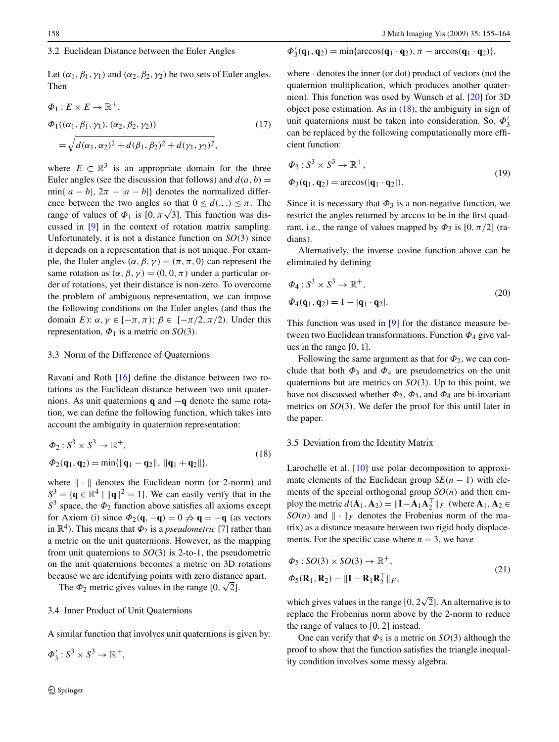## 3.2 Euclidean Distance between the Euler Angles

Let  $(\alpha_1, \beta_1, \gamma_1)$  and  $(\alpha_2, \beta_2, \gamma_2)$  be two sets of Euler angles. Then

$$
\Phi_1: E \times E \to \mathbb{R}^+,
$$
  
\n
$$
\Phi_1((\alpha_1, \beta_1, \gamma_1), (\alpha_2, \beta_2, \gamma_2))
$$
  
\n
$$
= \sqrt{d(\alpha_1, \alpha_2)^2 + d(\beta_1, \beta_2)^2 + d(\gamma_1, \gamma_2)^2},
$$
\n(17)

where  $E \subset \mathbb{R}^3$  is an appropriate domain for the three Euler angles (see the discussion that follows) and  $d(a, b) =$  $\min\{|a - b|, 2\pi - |a - b|\}$  denotes the normalized difference between the two angles so that  $0 \leq d(.)$ .  $\leq \pi$ . The range of values of  $\Phi_1$  is [0,  $\pi\sqrt{3}$ ]. This function was discussed in [\[9](#page-9-0)] in the context of rotation matrix sampling. Unfortunately, it is not a distance function on *SO(*3*)* since it depends on a representation that is not unique. For example, the Euler angles  $(\alpha, \beta, \gamma) = (\pi, \pi, 0)$  can represent the same rotation as  $(\alpha, \beta, \gamma) = (0, 0, \pi)$  under a particular order of rotations, yet their distance is non-zero. To overcome the problem of ambiguous representation, we can impose the following conditions on the Euler angles (and thus the domain *E*): *α,γ* ∈ [−*π,π)*; *β* ∈ [−*π/*2*,π/*2*)*. Under this representation,  $\Phi_1$  is a metric on *SO*(3).

#### 3.3 Norm of the Difference of Quaternions

Ravani and Roth [\[16](#page-9-0)] define the distance between two rotations as the Euclidean distance between two unit quaternions. As unit quaternions **q** and −**q** denote the same rotation, we can define the following function, which takes into account the ambiguity in quaternion representation:

$$
\Phi_2: S^3 \times S^3 \to \mathbb{R}^+, \n\Phi_2(\mathbf{q}_1, \mathbf{q}_2) = \min{\{\|\mathbf{q}_1 - \mathbf{q}_2\|, \|\mathbf{q}_1 + \mathbf{q}_2\|\}},
$$
\n(18)

where  $\|\cdot\|$  denotes the Euclidean norm (or 2-norm) and  $S<sup>3</sup> = {\mathbf{q} \in \mathbb{R}^4 \mid ||\mathbf{q}||^2 = 1}.$  We can easily verify that in the  $S<sup>3</sup>$  space, the  $\Phi_2$  function above satisfies all axioms except for Axiom (i) since  $\Phi_2(\mathbf{q}, -\mathbf{q}) = 0 \neq \mathbf{q} = -\mathbf{q}$  (as vectors in  $\mathbb{R}^4$ ). This means that  $\Phi_2$  is a *pseudometric* [[7\]](#page-9-0) rather than a metric on the unit quaternions. However, as the mapping from unit quaternions to *SO(*3*)* is 2-to-1, the pseudometric on the unit quaternions becomes a metric on 3D rotations because we are identifying points with zero distance apart.

The  $\Phi_2$  metric gives values in the range  $[0, \sqrt{2}]$ .

## 3.4 Inner Product of Unit Quaternions

A similar function that involves unit quaternions is given by:

 $\Phi'_3: S^3 \times S^3 \to \mathbb{R}^+,$ 

$$
\Phi_3'(\mathbf{q}_1, \mathbf{q}_2) = \min\{\arccos(\mathbf{q}_1 \cdot \mathbf{q}_2), \pi - \arccos(\mathbf{q}_1 \cdot \mathbf{q}_2)\},\
$$

where · denotes the inner (or dot) product of vectors (not the quaternion multiplication, which produces another quaternion). This function was used by Wunsch et al. [\[20](#page-9-0)] for 3D object pose estimation. As in (18), the ambiguity in sign of unit quaternions must be taken into consideration. So, *Φ* 3 can be replaced by the following computationally more efficient function:

$$
\Phi_3: S^3 \times S^3 \to \mathbb{R}^+,
$$
  
\n
$$
\Phi_3(\mathbf{q}_1, \mathbf{q}_2) = \arccos(|\mathbf{q}_1 \cdot \mathbf{q}_2|).
$$
\n(19)

Since it is necessary that  $\Phi_3$  is a non-negative function, we restrict the angles returned by arccos to be in the first quadrant, i.e., the range of values mapped by  $\Phi_3$  is [0,  $\pi/2$ ] (radians).

Alternatively, the inverse cosine function above can be eliminated by defining

$$
\Phi_4: S^3 \times S^3 \to \mathbb{R}^+,
$$
  
\n
$$
\Phi_4(\mathbf{q}_1, \mathbf{q}_2) = 1 - |\mathbf{q}_1 \cdot \mathbf{q}_2|.
$$
\n(20)

This function was used in [\[9](#page-9-0)] for the distance measure between two Euclidean transformations. Function *Φ*<sup>4</sup> give values in the range [0*,* 1].

Following the same argument as that for  $\Phi_2$ , we can conclude that both  $\Phi_3$  and  $\Phi_4$  are pseudometrics on the unit quaternions but are metrics on *SO(*3*)*. Up to this point, we have not discussed whether  $\Phi_2$ ,  $\Phi_3$ , and  $\Phi_4$  are bi-invariant metrics on *SO(*3*)*. We defer the proof for this until later in the paper.

#### 3.5 Deviation from the Identity Matrix

Larochelle et al. [\[10](#page-9-0)] use polar decomposition to approximate elements of the Euclidean group  $SE(n - 1)$  with elements of the special orthogonal group *SO(n)* and then employ the metric  $d(\mathbf{A}_1, \mathbf{A}_2) = ||\mathbf{I} - \mathbf{A}_1 \mathbf{A}_2^\top||_F$  (where  $\mathbf{A}_1, \mathbf{A}_2 \in$ *SO*(*n*) and  $\|\cdot\|_F$  denotes the Frobenius norm of the matrix) as a distance measure between two rigid body displacements. For the specific case where  $n = 3$ , we have

$$
\Phi_5: SO(3) \times SO(3) \to \mathbb{R}^+,
$$
  
\n
$$
\Phi_5(\mathbf{R}_1, \mathbf{R}_2) = ||\mathbf{I} - \mathbf{R}_1 \mathbf{R}_2^\top||_F,
$$
\n(21)

which gives values in the range  $[0, 2\sqrt{2}]$ . An alternative is to replace the Frobenius norm above by the 2-norm to reduce the range of values to [0*,* 2] instead.

One can verify that  $\Phi_5$  is a metric on *SO*(3) although the proof to show that the function satisfies the triangle inequality condition involves some messy algebra.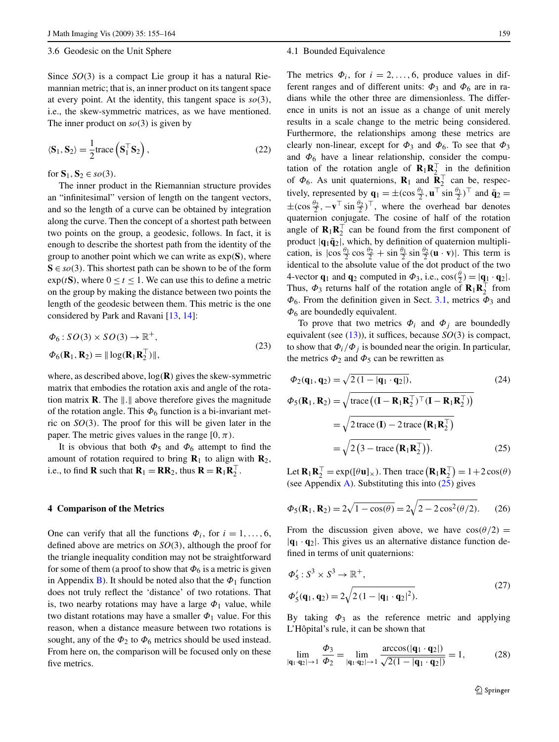#### <span id="page-4-0"></span>3.6 Geodesic on the Unit Sphere

Since *SO(*3*)* is a compact Lie group it has a natural Riemannian metric; that is, an inner product on its tangent space at every point. At the identity, this tangent space is  $so(3)$ , i.e., the skew-symmetric matrices, as we have mentioned. The inner product on  $so(3)$  is given by

$$
\langle \mathbf{S}_1, \mathbf{S}_2 \rangle = \frac{1}{2} \text{trace} \left( \mathbf{S}_1^\top \mathbf{S}_2 \right),\tag{22}
$$

for  $S_1$ ,  $S_2 \in \mathfrak{so}(3)$ .

The inner product in the Riemannian structure provides an "infinitesimal" version of length on the tangent vectors, and so the length of a curve can be obtained by integration along the curve. Then the concept of a shortest path between two points on the group, a geodesic, follows. In fact, it is enough to describe the shortest path from the identity of the group to another point which we can write as exp*(***S***)*, where  $S \in so(3)$ . This shortest path can be shown to be of the form  $\exp(tS)$ , where  $0 \le t \le 1$ . We can use this to define a metric on the group by making the distance between two points the length of the geodesic between them. This metric is the one considered by Park and Ravani [[13,](#page-9-0) [14\]](#page-9-0):

$$
\Phi_6: SO(3) \times SO(3) \to \mathbb{R}^+,
$$
  
\n
$$
\Phi_6(\mathbf{R}_1, \mathbf{R}_2) = || \log(\mathbf{R}_1 \mathbf{R}_2^\top) ||,
$$
\n(23)

where, as described above, log*(***R***)* gives the skew-symmetric matrix that embodies the rotation axis and angle of the rotation matrix **R**. The  $\| \cdot \|$  above therefore gives the magnitude of the rotation angle. This  $\Phi_6$  function is a bi-invariant metric on  $SO(3)$ . The proof for this will be given later in the paper. The metric gives values in the range  $[0, \pi)$ .

It is obvious that both  $\Phi_5$  and  $\Phi_6$  attempt to find the amount of rotation required to bring  $\mathbf{R}_1$  to align with  $\mathbf{R}_2$ , i.e., to find **R** such that  $\mathbf{R}_1 = \mathbf{R}\mathbf{R}_2$ , thus  $\mathbf{R} = \mathbf{R}_1\mathbf{R}_2^{\top}$ .

#### **4 Comparison of the Metrics**

One can verify that all the functions  $\Phi_i$ , for  $i = 1, \ldots, 6$ , defined above are metrics on *SO(*3*)*, although the proof for the triangle inequality condition may not be straightforward for some of them (a proof to show that  $\Phi_6$  is a metric is given in Appendix [B](#page-8-0)). It should be noted also that the  $\Phi_1$  function does not truly reflect the 'distance' of two rotations. That is, two nearby rotations may have a large  $\Phi_1$  value, while two distant rotations may have a smaller  $\Phi_1$  value. For this reason, when a distance measure between two rotations is sought, any of the  $\Phi_2$  to  $\Phi_6$  metrics should be used instead. From here on, the comparison will be focused only on these five metrics.

#### 4.1 Bounded Equivalence

The metrics  $\Phi_i$ , for  $i = 2, ..., 6$ , produce values in different ranges and of different units:  $\Phi_3$  and  $\Phi_6$  are in radians while the other three are dimensionless. The difference in units is not an issue as a change of unit merely results in a scale change to the metric being considered. Furthermore, the relationships among these metrics are clearly non-linear, except for  $\Phi_3$  and  $\Phi_6$ . To see that  $\Phi_3$ and  $\Phi_6$  have a linear relationship, consider the computation of the rotation angle of  $\mathbf{R}_1 \mathbf{R}_2^\top$  in the definition of  $\Phi_6$ . As unit quaternions, **R**<sub>1</sub> and **R**<sup>T</sup><sub>2</sub> can be, respectively, represented by  $\mathbf{q}_1 = \pm (\cos \frac{\theta_1}{2}, \mathbf{u}^\top \sin \frac{\theta_1}{2})^\top$  and  $\bar{\mathbf{q}}_2 =$  $\pm(\cos{\frac{\theta_2}{2}}, -\mathbf{v}^\top \sin{\frac{\theta_2}{2}})^\top$ , where the overhead bar denotes quaternion conjugate. The cosine of half of the rotation angle of  $\mathbf{R}_1 \mathbf{R}_2^\top$  can be found from the first component of product  $|\mathbf{q}_1\bar{\mathbf{q}}_2|$ , which, by definition of quaternion multiplication, is  $|\cos \frac{\theta_1}{2} \cos \frac{\theta_2}{2} + \sin \frac{\theta_1}{2} \sin \frac{\theta_2}{2} (\mathbf{u} \cdot \mathbf{v})|$ . This term is identical to the absolute value of the dot product of the two 4-vector **q**<sub>1</sub> and **q**<sub>2</sub> computed in  $\Phi_3$ , i.e.,  $\cos(\frac{\theta}{2}) = |\mathbf{q}_1 \cdot \mathbf{q}_2|$ . Thus,  $\Phi_3$  returns half of the rotation angle of  $\mathbf{R}_1 \mathbf{R}_2^\top$  from *Φ*6. From the definition given in Sect. [3.1](#page-2-0), metrics *Φ*<sup>3</sup> and *Φ*<sup>6</sup> are boundedly equivalent.

To prove that two metrics  $\Phi_i$  and  $\Phi_j$  are boundedly equivalent (see  $(13)$  $(13)$ ), it suffices, because  $SO(3)$  is compact, to show that  $\Phi_i/\Phi_j$  is bounded near the origin. In particular, the metrics  $\Phi_2$  and  $\Phi_5$  can be rewritten as

$$
\Phi_2(\mathbf{q}_1, \mathbf{q}_2) = \sqrt{2(1 - |\mathbf{q}_1 \cdot \mathbf{q}_2|)},
$$
\n
$$
\Phi_5(\mathbf{R}_1, \mathbf{R}_2) = \sqrt{\text{trace}\left((\mathbf{I} - \mathbf{R}_1 \mathbf{R}_2^\top)^\top (\mathbf{I} - \mathbf{R}_1 \mathbf{R}_2^\top)\right)}
$$
\n
$$
= \sqrt{2 \text{trace}\left(\mathbf{I}\right) - 2 \text{trace}\left(\mathbf{R}_1 \mathbf{R}_2^\top\right)}
$$
\n
$$
= \sqrt{2(3 - \text{trace}\left(\mathbf{R}_1 \mathbf{R}_2^\top\right)}.
$$
\n(25)

Let  $\mathbf{R}_1 \mathbf{R}_2^\top = \exp([\theta \mathbf{u}]_\times)$ . Then trace  $(\mathbf{R}_1 \mathbf{R}_2^\top) = 1 + 2 \cos(\theta)$ (see [A](#page-8-0)ppendix A). Substituting this into  $(25)$  gives

$$
\Phi_5(\mathbf{R}_1, \mathbf{R}_2) = 2\sqrt{1 - \cos(\theta)} = 2\sqrt{2 - 2\cos^2(\theta/2)}.
$$
 (26)

From the discussion given above, we have  $cos(\theta/2)$  =  $|\mathbf{q}_1 \cdot \mathbf{q}_2|$ . This gives us an alternative distance function defined in terms of unit quaternions:

$$
\Phi'_{5}: S^{3} \times S^{3} \to \mathbb{R}^{+},
$$
  
\n
$$
\Phi'_{5}(\mathbf{q}_{1}, \mathbf{q}_{2}) = 2\sqrt{2(1 - |\mathbf{q}_{1} \cdot \mathbf{q}_{2}|^{2})}.
$$
\n(27)

By taking  $\Phi_3$  as the reference metric and applying L'Hôpital's rule, it can be shown that

$$
\lim_{|\mathbf{q}_1 \cdot \mathbf{q}_2| \to 1} \frac{\Phi_3}{\Phi_2} = \lim_{|\mathbf{q}_1 \cdot \mathbf{q}_2| \to 1} \frac{\arccos(|\mathbf{q}_1 \cdot \mathbf{q}_2|)}{\sqrt{2(1 - |\mathbf{q}_1 \cdot \mathbf{q}_2|)}} = 1,
$$
 (28)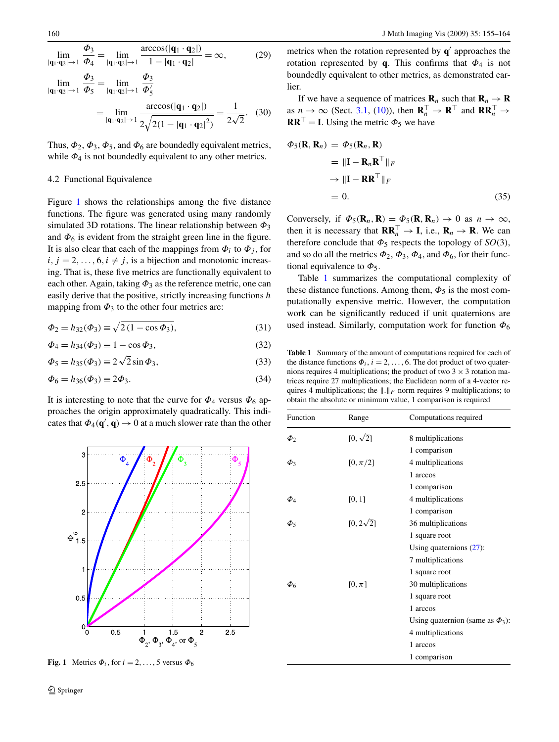<span id="page-5-0"></span>
$$
\lim_{|\mathbf{q}_1 \cdot \mathbf{q}_2| \to 1} \frac{\Phi_3}{\Phi_4} = \lim_{|\mathbf{q}_1 \cdot \mathbf{q}_2| \to 1} \frac{\arccos(|\mathbf{q}_1 \cdot \mathbf{q}_2|)}{1 - |\mathbf{q}_1 \cdot \mathbf{q}_2|} = \infty,
$$
(29)  

$$
\lim_{|\mathbf{q}_1 \cdot \mathbf{q}_2| \to 1} \frac{\Phi_3}{\Phi_5} = \lim_{|\mathbf{q}_1 \cdot \mathbf{q}_2| \to 1} \frac{\Phi_3}{\Phi_5'}
$$

$$
= \lim_{|\mathbf{q}_1 \cdot \mathbf{q}_2| \to 1} \frac{\arccos(|\mathbf{q}_1 \cdot \mathbf{q}_2|)}{2\sqrt{2(1 - |\mathbf{q}_1 \cdot \mathbf{q}_2|^2)}} = \frac{1}{2\sqrt{2}}.
$$
(30)

Thus,  $\Phi_2$ ,  $\Phi_3$ ,  $\Phi_5$ , and  $\Phi_6$  are boundedly equivalent metrics, while  $\Phi_4$  is not boundedly equivalent to any other metrics.

#### 4.2 Functional Equivalence

Figure 1 shows the relationships among the five distance functions. The figure was generated using many randomly simulated 3D rotations. The linear relationship between *Φ*<sup>3</sup> and  $\Phi_6$  is evident from the straight green line in the figure. It is also clear that each of the mappings from  $\Phi_i$  to  $\Phi_j$ , for  $i, j = 2, \ldots, 6, i \neq j$ , is a bijection and monotonic increasing. That is, these five metrics are functionally equivalent to each other. Again, taking  $\Phi_3$  as the reference metric, one can easily derive that the positive, strictly increasing functions *h* mapping from  $\Phi_3$  to the other four metrics are:

$$
\Phi_2 = h_{32}(\Phi_3) \equiv \sqrt{2(1 - \cos \Phi_3)},\tag{31}
$$

$$
\Phi_4 = h_{34}(\Phi_3) \equiv 1 - \cos \Phi_3,\tag{32}
$$

$$
\Phi_5 = h_{35}(\Phi_3) \equiv 2\sqrt{2}\sin\Phi_3,\tag{33}
$$

$$
\Phi_6 = h_{36}(\Phi_3) \equiv 2\Phi_3. \tag{34}
$$

It is interesting to note that the curve for  $\Phi_4$  versus  $\Phi_6$  approaches the origin approximately quadratically. This indicates that  $\Phi_4(\mathbf{q}', \mathbf{q}) \to 0$  at a much slower rate than the other

metrics when the rotation represented by  $q'$  approaches the rotation represented by **q**. This confirms that  $\Phi_4$  is not boundedly equivalent to other metrics, as demonstrated earlier.

If we have a sequence of matrices  $\mathbf{R}_n$  such that  $\mathbf{R}_n \to \mathbf{R}$ as  $n \to \infty$  (Sect. [3.1](#page-2-0), [\(10](#page-2-0))), then  $\mathbf{R}_n^{\top} \to \mathbf{R}^{\top}$  and  $\mathbf{R} \mathbf{R}_n^{\top} \to$  $\mathbf{R}\mathbf{R}^{\top} = \mathbf{I}$ . Using the metric  $\Phi_5$  we have

$$
\Phi_5(\mathbf{R}, \mathbf{R}_n) = \Phi_5(\mathbf{R}_n, \mathbf{R})
$$
  
=  $\|\mathbf{I} - \mathbf{R}_n \mathbf{R}^\top\|_F$   
 $\rightarrow \|\mathbf{I} - \mathbf{R} \mathbf{R}^\top\|_F$   
= 0. (35)

Conversely, if  $\Phi_5(\mathbf{R}_n, \mathbf{R}) = \Phi_5(\mathbf{R}, \mathbf{R}_n) \to 0$  as  $n \to \infty$ , then it is necessary that  $\mathbf{R}\mathbf{R}_n^{\top} \to \mathbf{I}$ , i.e.,  $\mathbf{R}_n \to \mathbf{R}$ . We can therefore conclude that  $\Phi_5$  respects the topology of *SO*(3), and so do all the metrics  $\Phi_2$ ,  $\Phi_3$ ,  $\Phi_4$ , and  $\Phi_6$ , for their functional equivalence to  $\Phi_5$ .

Table 1 summarizes the computational complexity of these distance functions. Among them,  $\Phi_5$  is the most computationally expensive metric. However, the computation work can be significantly reduced if unit quaternions are used instead. Similarly, computation work for function *Φ*<sup>6</sup>

**Table 1** Summary of the amount of computations required for each of the distance functions  $\Phi_i$ ,  $i = 2, ..., 6$ . The dot product of two quaternions requires 4 multiplications; the product of two  $3 \times 3$  rotation matrices require 27 multiplications; the Euclidean norm of a 4-vector requires 4 multiplications; the  $|| \cdot ||_F$  norm requires 9 multiplications; to obtain the absolute or minimum value, 1 comparison is required

| 3                               | $\overline{\Phi}_4$ | $\overline{\Phi}_2$ | $\overline{\Phi}_3$                                 |                         | $\Phi_{\overline{5}}$ |
|---------------------------------|---------------------|---------------------|-----------------------------------------------------|-------------------------|-----------------------|
| 2.5                             |                     |                     |                                                     |                         |                       |
| $\overline{c}$                  |                     |                     |                                                     |                         |                       |
| $\overset{\circ}{\theta_{1.5}}$ |                     |                     |                                                     |                         |                       |
| 1                               |                     |                     |                                                     |                         |                       |
| 0.5                             |                     |                     |                                                     |                         |                       |
| $\boldsymbol{0}_0$              | 0 <sub>5</sub>      |                     | 1.5<br>$\Phi_2$ , $\Phi_3$ , $\Phi_4$ , or $\Phi_5$ | $\overline{\mathbf{c}}$ | 2.5                   |

**Fig. 1** Metrics  $\Phi_i$ , for  $i = 2, ..., 5$  versus  $\Phi_6$ 

| Function    | Range            | Computations required                 |  |
|-------------|------------------|---------------------------------------|--|
| $\Phi_2$    | $[0, \sqrt{2}]$  | 8 multiplications                     |  |
|             |                  | 1 comparison                          |  |
| $\Phi_3$    | $[0, \pi/2]$     | 4 multiplications                     |  |
|             |                  | 1 arccos                              |  |
|             |                  | 1 comparison                          |  |
| $\varPhi_4$ | [0, 1]           | 4 multiplications                     |  |
|             |                  | 1 comparison                          |  |
| $\phi_5$    | $[0, 2\sqrt{2}]$ | 36 multiplications                    |  |
|             |                  | 1 square root                         |  |
|             |                  | Using quaternions $(27)$ :            |  |
|             |                  | 7 multiplications                     |  |
|             |                  | 1 square root                         |  |
| $\Phi$ 6    | $[0,\pi]$        | 30 multiplications                    |  |
|             |                  | 1 square root                         |  |
|             |                  | 1 arccos                              |  |
|             |                  | Using quaternion (same as $\Phi_3$ ): |  |
|             |                  | 4 multiplications                     |  |
|             |                  | 1 arccos                              |  |
|             |                  | 1 comparison                          |  |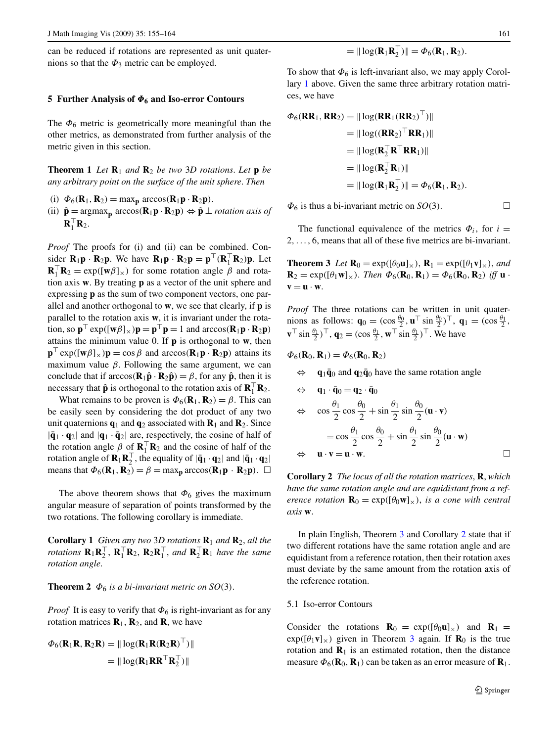<span id="page-6-0"></span>can be reduced if rotations are represented as unit quaternions so that the  $\Phi_3$  metric can be employed.

# **5 Further Analysis of** *Φ***<sup>6</sup> and Iso-error Contours**

The  $\Phi_6$  metric is geometrically more meaningful than the other metrics, as demonstrated from further analysis of the metric given in this section.

**Theorem 1** *Let*  $\mathbf{R}_1$  *and*  $\mathbf{R}_2$  *be two* 3*D rotations. Let* **p** *be any arbitrary point on the surface of the unit sphere*. *Then*

- (i)  $\Phi_6(\mathbf{R}_1, \mathbf{R}_2) = \max_{\mathbf{p}} \arccos(\mathbf{R}_1 \mathbf{p} \cdot \mathbf{R}_2 \mathbf{p}).$
- (ii)  $\hat{\mathbf{p}} = \argmax_{\mathbf{p}} \arccos(\mathbf{R}_1 \mathbf{p} \cdot \mathbf{R}_2 \mathbf{p}) \Leftrightarrow \hat{\mathbf{p}} \perp$  *rotation axis of*  $\mathbf{R}_1^\top \mathbf{R}_2$ .

*Proof* The proofs for (i) and (ii) can be combined. Consider  $\mathbf{R}_1 \mathbf{p} \cdot \mathbf{R}_2 \mathbf{p}$ . We have  $\mathbf{R}_1 \mathbf{p} \cdot \mathbf{R}_2 \mathbf{p} = \mathbf{p}^\top (\mathbf{R}_1^\top \mathbf{R}_2) \mathbf{p}$ . Let  $\mathbf{R}_1^\top \mathbf{R}_2 = \exp([\mathbf{w}\beta]_\times)$  for some rotation angle  $\beta$  and rotation axis **w**. By treating **p** as a vector of the unit sphere and expressing **p** as the sum of two component vectors, one parallel and another orthogonal to **w**, we see that clearly, if **p** is parallel to the rotation axis **w**, it is invariant under the rotation, so  $\mathbf{p}^{\top} \exp([\mathbf{w}\beta]_{\times})\mathbf{p} = \mathbf{p}^{\top}\mathbf{p} = 1$  and  $\arccos(\mathbf{R}_1\mathbf{p} \cdot \mathbf{R}_2\mathbf{p})$ attains the minimum value 0. If **p** is orthogonal to **w**, then  $\mathbf{p}^{\top} \exp([\mathbf{w}\beta]_{\times})\mathbf{p} = \cos \beta$  and  $\arccos(\mathbf{R}_1\mathbf{p} \cdot \mathbf{R}_2\mathbf{p})$  attains its maximum value  $\beta$ . Following the same argument, we can conclude that if  $\arccos(\mathbf{R}_1\hat{\mathbf{p}} \cdot \mathbf{R}_2\hat{\mathbf{p}}) = \beta$ , for any  $\hat{\mathbf{p}}$ , then it is necessary that  $\hat{\mathbf{p}}$  is orthogonal to the rotation axis of  $\mathbf{R}_1^\top \mathbf{R}_2$ .

What remains to be proven is  $\Phi_6(\mathbf{R}_1, \mathbf{R}_2) = \beta$ . This can be easily seen by considering the dot product of any two unit quaternions  $q_1$  and  $q_2$  associated with  $\mathbf{R}_1$  and  $\mathbf{R}_2$ . Since  $|\bar{\mathbf{q}}_1 \cdot \mathbf{q}_2|$  and  $|\mathbf{q}_1 \cdot \bar{\mathbf{q}}_2|$  are, respectively, the cosine of half of the rotation angle  $\beta$  of  $\mathbf{R}_1^{\top} \mathbf{R}_2$  and the cosine of half of the rotation angle of  $\mathbf{R}_1 \mathbf{R}_2^\top$ , the equality of  $|\bar{\mathbf{q}}_1 \cdot \mathbf{q}_2|$  and  $|\bar{\mathbf{q}}_1 \cdot \mathbf{q}_2|$ means that  $\Phi_6(\mathbf{R}_1, \mathbf{R}_2) = \beta = \max_{\mathbf{p}} \arccos(\mathbf{R}_1 \mathbf{p} \cdot \mathbf{R}_2 \mathbf{p})$ .  $\Box$ 

The above theorem shows that  $\Phi_6$  gives the maximum angular measure of separation of points transformed by the two rotations. The following corollary is immediate.

**Corollary 1** *Given any two* 3*D rotations* **R**<sup>1</sup> *and* **R**2, *all the rotations*  $\mathbf{R}_1 \mathbf{R}_2^{\top}$ ,  $\mathbf{R}_1^{\top} \mathbf{R}_2$ ,  $\mathbf{R}_2 \mathbf{R}_1^{\top}$ , and  $\mathbf{R}_2^{\top} \mathbf{R}_1$  have the same *rotation angle*.

# **Theorem 2**  $\Phi_6$  *is a bi-invariant metric on SO*(3).

*Proof* It is easy to verify that  $\Phi_6$  is right-invariant as for any rotation matrices  $\mathbf{R}_1$ ,  $\mathbf{R}_2$ , and  $\mathbf{R}$ , we have

$$
\Phi_6(\mathbf{R}_1 \mathbf{R}, \mathbf{R}_2 \mathbf{R}) = || \log(\mathbf{R}_1 \mathbf{R} (\mathbf{R}_2 \mathbf{R})^\top) ||
$$
  
= 
$$
|| \log(\mathbf{R}_1 \mathbf{R} \mathbf{R}^\top \mathbf{R}_2^\top) ||
$$

To show that  $\Phi_6$  is left-invariant also, we may apply Corollary 1 above. Given the same three arbitrary rotation matrices, we have

$$
\Phi_6(\mathbf{RR}_1, \mathbf{RR}_2) = ||\log(\mathbf{RR}_1(\mathbf{RR}_2)^{\top})||
$$
  
=  $||\log((\mathbf{RR}_2)^{\top} \mathbf{RR}_1)||$   
=  $||\log(\mathbf{R}_2^{\top} \mathbf{R}^{\top} \mathbf{RR}_1)||$   
=  $||\log(\mathbf{R}_2^{\top} \mathbf{R}_1)||$   
=  $||\log(\mathbf{R}_1 \mathbf{R}_2^{\top})|| = \Phi_6(\mathbf{R}_1, \mathbf{R}_2).$ 

 $\Phi_6$  is thus a bi-invariant metric on *SO*(3).  $\Box$ 

The functional equivalence of the metrics  $\Phi_i$ , for  $i =$ 2*,...,* 6, means that all of these five metrics are bi-invariant.

**Theorem 3** *Let*  $\mathbf{R}_0 = \exp([\theta_0 \mathbf{u}]_\times)$ ,  $\mathbf{R}_1 = \exp([\theta_1 \mathbf{v}]_\times)$ , and **R**<sub>2</sub> = exp( $[\theta_1 \mathbf{w}]_{\times}$ ). *Then*  $\Phi_6(\mathbf{R}_0, \mathbf{R}_1) = \Phi_6(\mathbf{R}_0, \mathbf{R}_2)$  *iff* **u** ·  $\mathbf{v} = \mathbf{u} \cdot \mathbf{w}$ .

*Proof* The three rotations can be written in unit quaternions as follows:  $\mathbf{q}_0 = (\cos \frac{\theta_0}{2}, \mathbf{u}^\top \sin \frac{\theta_0}{2})^\top$ ,  $\mathbf{q}_1 = (\cos \frac{\theta_1}{2}, \mathbf{u}^\top \sin \frac{\theta_0}{2})^\top$  $\mathbf{v}^{\top} \sin \frac{\theta_1}{2}$ ,  $\mathbf{\bar{q}}_2 = (\cos \frac{\theta_1}{2}, \mathbf{w}^{\top} \sin \frac{\theta_1}{2})^{\top}$ . We have

$$
\varPhi_6(\mathbf{R}_0, \mathbf{R}_1) = \varPhi_6(\mathbf{R}_0, \mathbf{R}_2)
$$

 $\mathbf{q}_1 \bar{\mathbf{q}}_0$  and  $\mathbf{q}_2 \bar{\mathbf{q}}_0$  have the same rotation angle

$$
\Rightarrow \mathbf{q}_1 \cdot \bar{\mathbf{q}}_0 = \mathbf{q}_2 \cdot \bar{\mathbf{q}}_0
$$
  
\n
$$
\Rightarrow \cos \frac{\theta_1}{2} \cos \frac{\theta_0}{2} + \sin \frac{\theta_1}{2} \sin \frac{\theta_0}{2} (\mathbf{u} \cdot \mathbf{v})
$$
  
\n
$$
= \cos \frac{\theta_1}{2} \cos \frac{\theta_0}{2} + \sin \frac{\theta_1}{2} \sin \frac{\theta_0}{2} (\mathbf{u} \cdot \mathbf{w})
$$
  
\n
$$
\Rightarrow \mathbf{u} \cdot \mathbf{v} = \mathbf{u} \cdot \mathbf{w}.
$$

**Corollary 2** *The locus of all the rotation matrices*, **R**, *which have the same rotation angle and are equidistant from a reference rotation*  $\mathbf{R}_0 = \exp([\theta_0 \mathbf{w}]_\times)$ *, is a cone with central axis* **w**.

In plain English, Theorem 3 and Corollary 2 state that if two different rotations have the same rotation angle and are equidistant from a reference rotation, then their rotation axes must deviate by the same amount from the rotation axis of the reference rotation.

# 5.1 Iso-error Contours

Consider the rotations  $\mathbf{R}_0 = \exp([\theta_0 \mathbf{u}]_\times)$  and  $\mathbf{R}_1 =$  $exp([h_1 \mathbf{v}]_\times)$  given in Theorem 3 again. If  $\mathbf{R}_0$  is the true rotation and  $\mathbf{R}_1$  is an estimated rotation, then the distance measure  $\Phi_6(\mathbf{R}_0, \mathbf{R}_1)$  can be taken as an error measure of  $\mathbf{R}_1$ .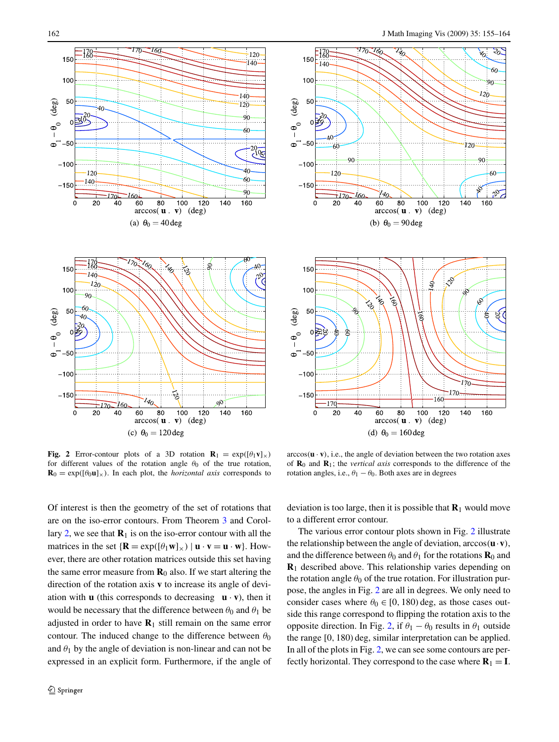20

60

90. 120.

60

٩Ŕ

160

160

ø

<span id="page-7-0"></span>

**Fig. 2** Error-contour plots of a 3D rotation  $\mathbf{R}_1 = \exp([\theta_1 \mathbf{v}]_\times)$ for different values of the rotation angle  $\theta_0$  of the true rotation,  $\mathbf{R}_0 = \exp([\theta_0 \mathbf{u}]_\times)$ . In each plot, the *horizontal axis* corresponds to

 $arccos(\mathbf{u} \cdot \mathbf{v})$ , i.e., the angle of deviation between the two rotation axes of **R**<sup>0</sup> and **R**1; the *vertical axis* corresponds to the difference of the rotation angles, i.e.,  $\theta_1 - \theta_0$ . Both axes are in degrees

Of interest is then the geometry of the set of rotations that are on the iso-error contours. From Theorem [3](#page-6-0) and Corol-lary [2,](#page-6-0) we see that  $\mathbf{R}_1$  is on the iso-error contour with all the matrices in the set  $\{R = \exp([\theta_1 \mathbf{w}]_\times) | \mathbf{u} \cdot \mathbf{v} = \mathbf{u} \cdot \mathbf{w} \}$ . However, there are other rotation matrices outside this set having the same error measure from  $\mathbf{R}_0$  also. If we start altering the direction of the rotation axis **v** to increase its angle of deviation with **u** (this corresponds to decreasing  $\mathbf{u} \cdot \mathbf{v}$ ), then it would be necessary that the difference between  $\theta_0$  and  $\theta_1$  be adjusted in order to have  $\mathbf{R}_1$  still remain on the same error contour. The induced change to the difference between  $\theta_0$ and  $\theta_1$  by the angle of deviation is non-linear and can not be expressed in an explicit form. Furthermore, if the angle of deviation is too large, then it is possible that  $\mathbf{R}_1$  would move to a different error contour.

The various error contour plots shown in Fig. 2 illustrate the relationship between the angle of deviation, arccos*(***u**·**v***)*, and the difference between  $\theta_0$  and  $\theta_1$  for the rotations **R**<sub>0</sub> and **R**<sup>1</sup> described above. This relationship varies depending on the rotation angle  $\theta_0$  of the true rotation. For illustration purpose, the angles in Fig. 2 are all in degrees. We only need to consider cases where  $\theta_0 \in [0, 180)$  deg, as those cases outside this range correspond to flipping the rotation axis to the opposite direction. In Fig. 2, if  $\theta_1 - \theta_0$  results in  $\theta_1$  outside the range [0*,* 180*)* deg, similar interpretation can be applied. In all of the plots in Fig. 2, we can see some contours are perfectly horizontal. They correspond to the case where  $\mathbf{R}_1 = \mathbf{I}$ .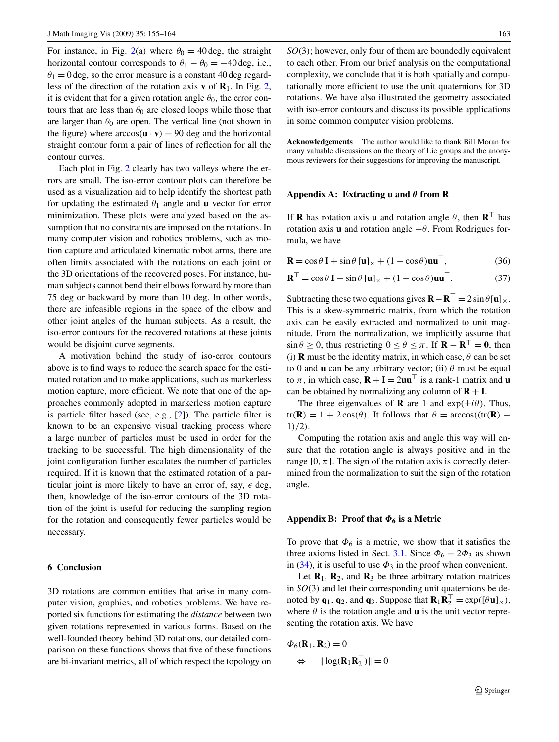<span id="page-8-0"></span>For instance, in Fig. [2\(](#page-7-0)a) where  $\theta_0 = 40 \text{ deg}$ , the straight horizontal contour corresponds to  $\theta_1 - \theta_0 = -40 \text{ deg, i.e.,}$  $\theta_1 = 0$  deg, so the error measure is a constant 40 deg regardless of the direction of the rotation axis **v** of **R**1. In Fig. [2](#page-7-0), it is evident that for a given rotation angle  $\theta_0$ , the error contours that are less than  $\theta_0$  are closed loops while those that are larger than  $\theta_0$  are open. The vertical line (not shown in the figure) where  $\arccos(\mathbf{u} \cdot \mathbf{v}) = 90$  deg and the horizontal straight contour form a pair of lines of reflection for all the contour curves.

Each plot in Fig. [2](#page-7-0) clearly has two valleys where the errors are small. The iso-error contour plots can therefore be used as a visualization aid to help identify the shortest path for updating the estimated  $\theta_1$  angle and **u** vector for error minimization. These plots were analyzed based on the assumption that no constraints are imposed on the rotations. In many computer vision and robotics problems, such as motion capture and articulated kinematic robot arms, there are often limits associated with the rotations on each joint or the 3D orientations of the recovered poses. For instance, human subjects cannot bend their elbows forward by more than 75 deg or backward by more than 10 deg. In other words, there are infeasible regions in the space of the elbow and other joint angles of the human subjects. As a result, the iso-error contours for the recovered rotations at these joints would be disjoint curve segments.

A motivation behind the study of iso-error contours above is to find ways to reduce the search space for the estimated rotation and to make applications, such as markerless motion capture, more efficient. We note that one of the approaches commonly adopted in markerless motion capture is particle filter based (see, e.g., [\[2](#page-9-0)]). The particle filter is known to be an expensive visual tracking process where a large number of particles must be used in order for the tracking to be successful. The high dimensionality of the joint configuration further escalates the number of particles required. If it is known that the estimated rotation of a particular joint is more likely to have an error of, say,  $\epsilon$  deg, then, knowledge of the iso-error contours of the 3D rotation of the joint is useful for reducing the sampling region for the rotation and consequently fewer particles would be necessary.

# **6 Conclusion**

3D rotations are common entities that arise in many computer vision, graphics, and robotics problems. We have reported six functions for estimating the *distance* between two given rotations represented in various forms. Based on the well-founded theory behind 3D rotations, our detailed comparison on these functions shows that five of these functions are bi-invariant metrics, all of which respect the topology on

*SO(*3*)*; however, only four of them are boundedly equivalent to each other. From our brief analysis on the computational complexity, we conclude that it is both spatially and computationally more efficient to use the unit quaternions for 3D rotations. We have also illustrated the geometry associated with iso-error contours and discuss its possible applications in some common computer vision problems.

**Acknowledgements** The author would like to thank Bill Moran for many valuable discussions on the theory of Lie groups and the anonymous reviewers for their suggestions for improving the manuscript.

# **Appendix A: Extracting u and** *θ* **from R**

If **R** has rotation axis **u** and rotation angle  $\theta$ , then **R**<sup>T</sup> has rotation axis **u** and rotation angle −*θ* . From Rodrigues formula, we have

$$
\mathbf{R} = \cos\theta \, \mathbf{I} + \sin\theta \, [\mathbf{u}]_{\times} + (1 - \cos\theta)\mathbf{u}\mathbf{u}^{\top},\tag{36}
$$

$$
\mathbf{R}^{\top} = \cos \theta \, \mathbf{I} - \sin \theta \, [\mathbf{u}]_{\times} + (1 - \cos \theta) \mathbf{u} \mathbf{u}^{\top}.
$$
 (37)

Subtracting these two equations gives  $\mathbf{R} - \mathbf{R}^\top = 2 \sin \theta \begin{bmatrix} \mathbf{u} \end{bmatrix}$ . This is a skew-symmetric matrix, from which the rotation axis can be easily extracted and normalized to unit magnitude. From the normalization, we implicitly assume that  $\sin \theta \ge 0$ , thus restricting  $0 \le \theta \le \pi$ . If  $\mathbf{R} - \mathbf{R}^\top = \mathbf{0}$ , then (i) **R** must be the identity matrix, in which case,  $\theta$  can be set to 0 and **u** can be any arbitrary vector; (ii)  $\theta$  must be equal to  $\pi$ , in which case,  $\mathbf{R} + \mathbf{I} = 2\mathbf{u}\mathbf{u}^\top$  is a rank-1 matrix and **u** can be obtained by normalizing any column of  $\mathbf{R} + \mathbf{I}$ .

The three eigenvalues of **R** are 1 and  $exp(\pm i\theta)$ . Thus,  $tr(\mathbf{R}) = 1 + 2cos(\theta)$ . It follows that  $\theta = arccos((tr(\mathbf{R}) -$ 1*)/*2*)*.

Computing the rotation axis and angle this way will ensure that the rotation angle is always positive and in the range  $[0, \pi]$ . The sign of the rotation axis is correctly determined from the normalization to suit the sign of the rotation angle.

#### **Appendix B: Proof that** *Φ***<sup>6</sup> is a Metric**

To prove that  $\Phi_6$  is a metric, we show that it satisfies the three axioms listed in Sect. [3.1](#page-2-0). Since  $\Phi_6 = 2\Phi_3$  as shown in [\(34](#page-5-0)), it is useful to use  $\Phi_3$  in the proof when convenient.

Let  $\mathbf{R}_1$ ,  $\mathbf{R}_2$ , and  $\mathbf{R}_3$  be three arbitrary rotation matrices in *SO(*3*)* and let their corresponding unit quaternions be denoted by **q**<sub>1</sub>, **q**<sub>2</sub>, and **q**<sub>3</sub>. Suppose that **R**<sub>1</sub>**R**<sub>2</sub><sup>T</sup> = exp([ $\theta$ **u**]<sub>×</sub>), where  $\theta$  is the rotation angle and **u** is the unit vector representing the rotation axis. We have

$$
\Phi_6(\mathbf{R}_1, \mathbf{R}_2) = 0
$$
  
\n
$$
\Leftrightarrow \quad ||\log(\mathbf{R}_1 \mathbf{R}_2^\top)|| = 0
$$